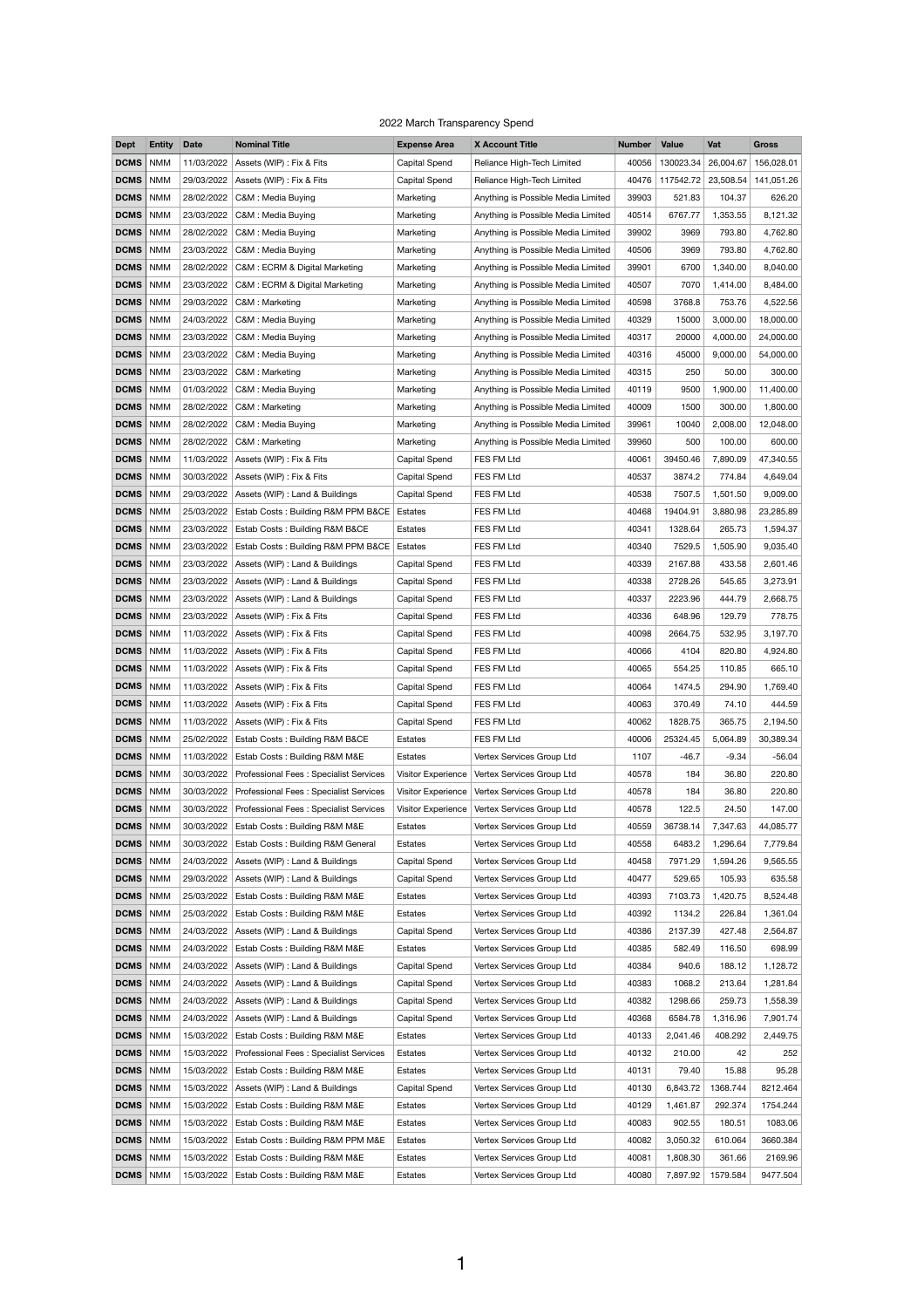## 2022 March Transparency Spend

| <b>Dept</b> | <b>Entity</b> | <b>Date</b> | <b>Nominal Title</b>                        | <b>Expense Area</b>  | <b>X Account Title</b>             | <b>Number</b> | <b>Value</b> | Vat       | <b>Gross</b> |
|-------------|---------------|-------------|---------------------------------------------|----------------------|------------------------------------|---------------|--------------|-----------|--------------|
| <b>DCMS</b> | <b>NMM</b>    | 11/03/2022  | Assets (WIP) : Fix & Fits                   | <b>Capital Spend</b> | Reliance High-Tech Limited         | 40056         | 130023.34    | 26,004.67 | 156,028.01   |
| <b>DCMS</b> | <b>NMM</b>    | 29/03/2022  | Assets (WIP) : Fix & Fits                   | Capital Spend        | Reliance High-Tech Limited         | 40476         | 117542.72    | 23,508.54 | 141,051.26   |
| <b>DCMS</b> | <b>NMM</b>    | 28/02/2022  | C&M: Media Buying                           | Marketing            | Anything is Possible Media Limited | 39903         | 521.83       | 104.37    | 626.20       |
| <b>DCMS</b> | <b>NMM</b>    | 23/03/2022  | C&M : Media Buying                          | Marketing            | Anything is Possible Media Limited | 40514         | 6767.77      | 1,353.55  | 8,121.32     |
| <b>DCMS</b> | <b>NMM</b>    | 28/02/2022  | C&M: Media Buying                           | Marketing            | Anything is Possible Media Limited | 39902         | 3969         | 793.80    | 4,762.80     |
| <b>DCMS</b> | <b>NMM</b>    | 23/03/2022  | C&M: Media Buying                           | Marketing            | Anything is Possible Media Limited | 40506         | 3969         | 793.80    | 4,762.80     |
| <b>DCMS</b> | <b>NMM</b>    | 28/02/2022  | C&M: ECRM & Digital Marketing               | Marketing            | Anything is Possible Media Limited | 39901         | 6700         | 1,340.00  | 8,040.00     |
| <b>DCMS</b> | <b>NMM</b>    | 23/03/2022  | C&M : ECRM & Digital Marketing              | Marketing            | Anything is Possible Media Limited | 40507         | 7070         | 1,414.00  | 8,484.00     |
| <b>DCMS</b> | <b>NMM</b>    | 29/03/2022  | C&M: Marketing                              | Marketing            | Anything is Possible Media Limited | 40598         | 3768.8       | 753.76    | 4,522.56     |
| <b>DCMS</b> | <b>NMM</b>    | 24/03/2022  | C&M: Media Buying                           | Marketing            | Anything is Possible Media Limited | 40329         | 15000        | 3,000.00  | 18,000.00    |
|             |               |             |                                             |                      |                                    |               |              |           |              |
| <b>DCMS</b> | <b>NMM</b>    | 23/03/2022  | C&M: Media Buying                           | Marketing            | Anything is Possible Media Limited | 40317         | 20000        | 4,000.00  | 24,000.00    |
| <b>DCMS</b> | <b>NMM</b>    | 23/03/2022  | C&M: Media Buying                           | Marketing            | Anything is Possible Media Limited | 40316         | 45000        | 9,000.00  | 54,000.00    |
| <b>DCMS</b> | <b>NMM</b>    | 23/03/2022  | C&M: Marketing                              | Marketing            | Anything is Possible Media Limited | 40315         | 250          | 50.00     | 300.00       |
| <b>DCMS</b> | <b>NMM</b>    | 01/03/2022  | C&M: Media Buying                           | Marketing            | Anything is Possible Media Limited | 40119         | 9500         | 1,900.00  | 11,400.00    |
| <b>DCMS</b> | <b>NMM</b>    | 28/02/2022  | C&M: Marketing                              | Marketing            | Anything is Possible Media Limited | 40009         | 1500         | 300.00    | 1,800.00     |
| <b>DCMS</b> | <b>NMM</b>    | 28/02/2022  | C&M: Media Buying                           | Marketing            | Anything is Possible Media Limited | 39961         | 10040        | 2,008.00  | 12,048.00    |
| <b>DCMS</b> | <b>NMM</b>    | 28/02/2022  | C&M: Marketing                              | Marketing            | Anything is Possible Media Limited | 39960         | 500          | 100.00    | 600.00       |
| <b>DCMS</b> | <b>NMM</b>    | 11/03/2022  | Assets (WIP) : Fix & Fits                   | Capital Spend        | FES FM Ltd                         | 40061         | 39450.46     | 7,890.09  | 47,340.55    |
| <b>DCMS</b> | <b>NMM</b>    | 30/03/2022  | Assets (WIP) : Fix & Fits                   | <b>Capital Spend</b> | FES FM Ltd                         | 40537         | 3874.2       | 774.84    | 4,649.04     |
| <b>DCMS</b> | <b>NMM</b>    | 29/03/2022  | Assets (WIP) : Land & Buildings             | <b>Capital Spend</b> | FES FM Ltd                         | 40538         | 7507.5       | 1,501.50  | 9,009.00     |
| <b>DCMS</b> | <b>NMM</b>    | 25/03/2022  | Estab Costs: Building R&M PPM B&CE          | Estates              | FES FM Ltd                         | 40468         | 19404.91     | 3,880.98  | 23,285.89    |
| <b>DCMS</b> | <b>NMM</b>    |             | 23/03/2022   Estab Costs: Building R&M B&CE | Estates              | FES FM Ltd                         | 40341         | 1328.64      | 265.73    | 1,594.37     |
| <b>DCMS</b> | <b>NMM</b>    | 23/03/2022  | Estab Costs: Building R&M PPM B&CE          | Estates              | FES FM Ltd                         | 40340         | 7529.5       | 1,505.90  | 9,035.40     |
| <b>DCMS</b> | <b>NMM</b>    | 23/03/2022  | Assets (WIP) : Land & Buildings             | Capital Spend        | FES FM Ltd                         | 40339         | 2167.88      | 433.58    | 2,601.46     |
| <b>DCMS</b> | <b>NMM</b>    | 23/03/2022  | Assets (WIP) : Land & Buildings             | Capital Spend        | FES FM Ltd                         | 40338         | 2728.26      | 545.65    | 3,273.91     |
| <b>DCMS</b> | <b>NMM</b>    | 23/03/2022  | Assets (WIP) : Land & Buildings             | Capital Spend        | FES FM Ltd                         | 40337         | 2223.96      | 444.79    | 2,668.75     |
| <b>DCMS</b> |               |             |                                             |                      |                                    |               | 648.96       |           |              |
|             | <b>NMM</b>    |             | 23/03/2022   Assets (WIP) : Fix & Fits      | Capital Spend        | FES FM Ltd                         | 40336         |              | 129.79    | 778.75       |
| <b>DCMS</b> | <b>NMM</b>    | 11/03/2022  | Assets (WIP) : Fix & Fits                   | Capital Spend        | FES FM Ltd                         | 40098         | 2664.75      | 532.95    | 3,197.70     |
| <b>DCMS</b> | <b>NMM</b>    | 11/03/2022  | Assets (WIP) : Fix & Fits                   | Capital Spend        | FES FM Ltd                         | 40066         | 4104         | 820.80    | 4,924.80     |
| <b>DCMS</b> | <b>NMM</b>    |             | 11/03/2022   Assets (WIP) : Fix & Fits      | Capital Spend        | FES FM Ltd                         | 40065         | 554.25       | 110.85    | 665.10       |
| <b>DCMS</b> | <b>NMM</b>    | 11/03/2022  | Assets (WIP) : Fix & Fits                   | Capital Spend        | FES FM Ltd                         | 40064         | 1474.5       | 294.90    | 1,769.40     |
| <b>DCMS</b> | <b>NMM</b>    | 11/03/2022  | Assets (WIP) : Fix & Fits                   | Capital Spend        | FES FM Ltd                         | 40063         | 370.49       | 74.10     | 444.59       |
| <b>DCMS</b> | <b>NMM</b>    |             | 11/03/2022   Assets (WIP) : Fix & Fits      | Capital Spend        | FES FM Ltd                         | 40062         | 1828.75      | 365.75    | 2,194.50     |
| <b>DCMS</b> | <b>NMM</b>    | 25/02/2022  | Estab Costs: Building R&M B&CE              | Estates              | FES FM Ltd                         | 40006         | 25324.45     | 5,064.89  | 30,389.34    |
| <b>DCMS</b> | <b>NMM</b>    | 11/03/2022  | Estab Costs: Building R&M M&E               | Estates              | Vertex Services Group Ltd          | 1107          | $-46.7$      | $-9.34$   | $-56.04$     |
| <b>DCMS</b> | <b>NMM</b>    | 30/03/2022  | Professional Fees : Specialist Services     | Visitor Experience   | Vertex Services Group Ltd          | 40578         | 184          | 36.80     | 220.80       |
| <b>DCMS</b> | <b>NMM</b>    | 30/03/2022  | Professional Fees: Specialist Services      | Visitor Experience   | Vertex Services Group Ltd          | 40578         | 184          | 36.80     | 220.80       |
| <b>DCMS</b> | <b>NMM</b>    | 30/03/2022  | Professional Fees : Specialist Services     | Visitor Experience   | Vertex Services Group Ltd          | 40578         | 122.5        | 24.50     | 147.00       |
| <b>DCMS</b> | <b>NMM</b>    | 30/03/2022  | Estab Costs: Building R&M M&E               | Estates              | Vertex Services Group Ltd          | 40559         | 36738.14     | 7,347.63  | 44,085.77    |
| <b>DCMS</b> | <b>NMM</b>    | 30/03/2022  | Estab Costs: Building R&M General           | Estates              | Vertex Services Group Ltd          | 40558         | 6483.2       | 1,296.64  | 7,779.84     |
| <b>DCMS</b> | <b>NMM</b>    | 24/03/2022  | Assets (WIP) : Land & Buildings             | Capital Spend        | Vertex Services Group Ltd          | 40458         | 7971.29      | 1,594.26  | 9,565.55     |
| <b>DCMS</b> | <b>NMM</b>    | 29/03/2022  | Assets (WIP) : Land & Buildings             | Capital Spend        | Vertex Services Group Ltd          | 40477         | 529.65       | 105.93    | 635.58       |
| <b>DCMS</b> | <b>NMM</b>    | 25/03/2022  | Estab Costs: Building R&M M&E               | Estates              | Vertex Services Group Ltd          | 40393         | 7103.73      | 1,420.75  | 8,524.48     |
| DCMS        | <b>NMM</b>    |             | 25/03/2022   Estab Costs: Building R&M M&E  | Estates              | Vertex Services Group Ltd          | 40392         | 1134.2       | 226.84    | 1,361.04     |
|             |               |             |                                             |                      |                                    |               |              |           |              |
| <b>DCMS</b> | <b>NMM</b>    | 24/03/2022  | Assets (WIP) : Land & Buildings             | <b>Capital Spend</b> | Vertex Services Group Ltd          | 40386         | 2137.39      | 427.48    | 2,564.87     |
| <b>DCMS</b> | <b>NMM</b>    | 24/03/2022  | Estab Costs: Building R&M M&E               | Estates              | Vertex Services Group Ltd          | 40385         | 582.49       | 116.50    | 698.99       |
| <b>DCMS</b> | <b>NMM</b>    | 24/03/2022  | Assets (WIP) : Land & Buildings             | Capital Spend        | Vertex Services Group Ltd          | 40384         | 940.6        | 188.12    | 1,128.72     |
| <b>DCMS</b> | <b>NMM</b>    | 24/03/2022  | Assets (WIP) : Land & Buildings             | <b>Capital Spend</b> | Vertex Services Group Ltd          | 40383         | 1068.2       | 213.64    | 1,281.84     |
| <b>DCMS</b> | <b>NMM</b>    | 24/03/2022  | Assets (WIP) : Land & Buildings             | Capital Spend        | Vertex Services Group Ltd          | 40382         | 1298.66      | 259.73    | 1,558.39     |
| <b>DCMS</b> | <b>NMM</b>    | 24/03/2022  | Assets (WIP) : Land & Buildings             | Capital Spend        | Vertex Services Group Ltd          | 40368         | 6584.78      | 1,316.96  | 7,901.74     |
| <b>DCMS</b> | <b>NMM</b>    | 15/03/2022  | Estab Costs: Building R&M M&E               | Estates              | Vertex Services Group Ltd          | 40133         | 2,041.46     | 408.292   | 2,449.75     |
| <b>DCMS</b> | <b>NMM</b>    | 15/03/2022  | Professional Fees: Specialist Services      | Estates              | Vertex Services Group Ltd          | 40132         | 210.00       | 42        | 252          |
| <b>DCMS</b> | <b>NMM</b>    | 15/03/2022  | Estab Costs: Building R&M M&E               | Estates              | Vertex Services Group Ltd          | 40131         | 79.40        | 15.88     | 95.28        |
| <b>DCMS</b> | <b>NMM</b>    | 15/03/2022  | Assets (WIP) : Land & Buildings             | <b>Capital Spend</b> | Vertex Services Group Ltd          | 40130         | 6,843.72     | 1368.744  | 8212.464     |
| <b>DCMS</b> | <b>NMM</b>    | 15/03/2022  | Estab Costs: Building R&M M&E               | Estates              | Vertex Services Group Ltd          | 40129         | 1,461.87     | 292.374   | 1754.244     |
| <b>DCMS</b> | <b>NMM</b>    | 15/03/2022  | Estab Costs: Building R&M M&E               | Estates              | Vertex Services Group Ltd          | 40083         | 902.55       | 180.51    | 1083.06      |
| <b>DCMS</b> | <b>NMM</b>    | 15/03/2022  | Estab Costs: Building R&M PPM M&E           | Estates              | Vertex Services Group Ltd          | 40082         | 3,050.32     | 610.064   | 3660.384     |
| <b>DCMS</b> | <b>NMM</b>    | 15/03/2022  | Estab Costs: Building R&M M&E               | Estates              | Vertex Services Group Ltd          | 40081         | 1,808.30     | 361.66    | 2169.96      |
| <b>DCMS</b> | <b>NMM</b>    | 15/03/2022  | Estab Costs: Building R&M M&E               | Estates              | Vertex Services Group Ltd          | 40080         | 7,897.92     | 1579.584  | 9477.504     |
|             |               |             |                                             |                      |                                    |               |              |           |              |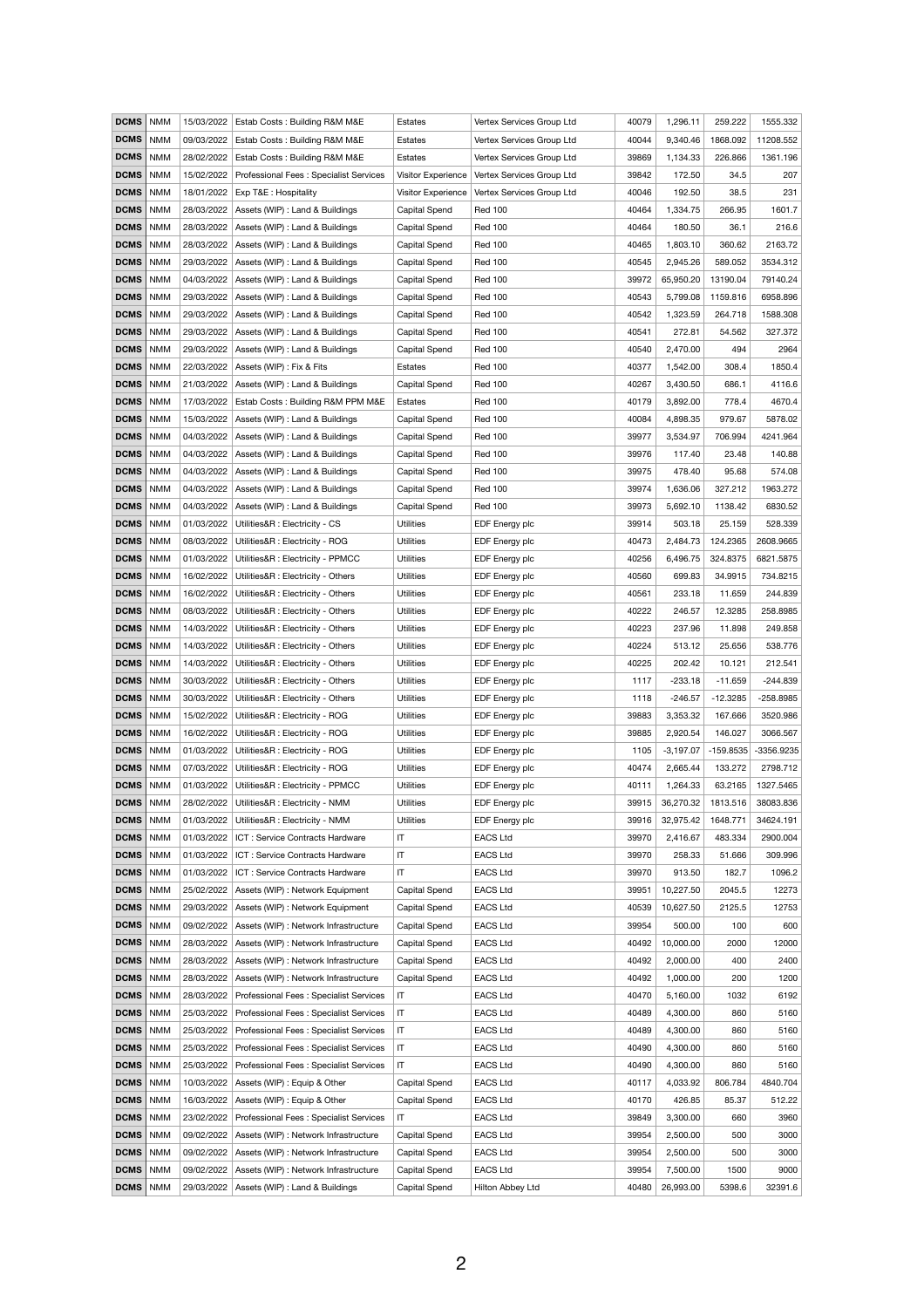| <b>DCMS</b> | <b>NMM</b> | 15/03/2022 | Estab Costs: Building R&M M&E                 | Estates                | Vertex Services Group Ltd | 40079 | 1,296.11    | 259.222     | 1555.332    |
|-------------|------------|------------|-----------------------------------------------|------------------------|---------------------------|-------|-------------|-------------|-------------|
| <b>DCMS</b> | <b>NMM</b> | 09/03/2022 | Estab Costs: Building R&M M&E                 | <b>Estates</b>         | Vertex Services Group Ltd | 40044 | 9,340.46    | 1868.092    | 11208.552   |
| <b>DCMS</b> | <b>NMM</b> | 28/02/2022 | Estab Costs: Building R&M M&E                 | Estates                | Vertex Services Group Ltd | 39869 | 1,134.33    | 226.866     | 1361.196    |
| <b>DCMS</b> | <b>NMM</b> | 15/02/2022 | Professional Fees: Specialist Services        | Visitor Experience     | Vertex Services Group Ltd | 39842 | 172.50      | 34.5        | 207         |
| <b>DCMS</b> | <b>NMM</b> | 18/01/2022 | Exp T&E : Hospitality                         | Visitor Experience     | Vertex Services Group Ltd | 40046 | 192.50      | 38.5        | 231         |
| <b>DCMS</b> | <b>NMM</b> | 28/03/2022 | Assets (WIP) : Land & Buildings               | Capital Spend          | <b>Red 100</b>            | 40464 | 1,334.75    | 266.95      | 1601.7      |
| <b>DCMS</b> | <b>NMM</b> | 28/03/2022 | Assets (WIP) : Land & Buildings               | <b>Capital Spend</b>   | <b>Red 100</b>            | 40464 | 180.50      | 36.1        | 216.6       |
| <b>DCMS</b> | <b>NMM</b> | 28/03/2022 | Assets (WIP) : Land & Buildings               | <b>Capital Spend</b>   | <b>Red 100</b>            | 40465 | 1,803.10    | 360.62      | 2163.72     |
| <b>DCMS</b> | <b>NMM</b> | 29/03/2022 | Assets (WIP) : Land & Buildings               | Capital Spend          | <b>Red 100</b>            | 40545 | 2,945.26    | 589.052     | 3534.312    |
| <b>DCMS</b> | <b>NMM</b> | 04/03/2022 | Assets (WIP) : Land & Buildings               | <b>Capital Spend</b>   | <b>Red 100</b>            | 39972 | 65,950.20   | 13190.04    | 79140.24    |
| <b>DCMS</b> | <b>NMM</b> | 29/03/2022 | Assets (WIP) : Land & Buildings               | <b>Capital Spend</b>   | <b>Red 100</b>            | 40543 | 5,799.08    | 1159.816    | 6958.896    |
| <b>DCMS</b> | <b>NMM</b> | 29/03/2022 | Assets (WIP) : Land & Buildings               | <b>Capital Spend</b>   | <b>Red 100</b>            | 40542 | 1,323.59    | 264.718     | 1588.308    |
| <b>DCMS</b> | <b>NMM</b> | 29/03/2022 | Assets (WIP) : Land & Buildings               | <b>Capital Spend</b>   | <b>Red 100</b>            | 40541 | 272.81      | 54.562      | 327.372     |
| <b>DCMS</b> | <b>NMM</b> | 29/03/2022 | Assets (WIP) : Land & Buildings               | <b>Capital Spend</b>   | <b>Red 100</b>            | 40540 | 2,470.00    | 494         | 2964        |
| <b>DCMS</b> | <b>NMM</b> | 22/03/2022 | Assets (WIP) : Fix & Fits                     | <b>Estates</b>         | <b>Red 100</b>            | 40377 | 1,542.00    | 308.4       | 1850.4      |
| <b>DCMS</b> | <b>NMM</b> | 21/03/2022 | Assets (WIP) : Land & Buildings               | Capital Spend          | <b>Red 100</b>            | 40267 | 3,430.50    | 686.1       | 4116.6      |
| <b>DCMS</b> | <b>NMM</b> | 17/03/2022 | Estab Costs: Building R&M PPM M&E             | Estates                | <b>Red 100</b>            | 40179 | 3,892.00    | 778.4       | 4670.4      |
| <b>DCMS</b> | <b>NMM</b> | 15/03/2022 | Assets (WIP) : Land & Buildings               | Capital Spend          | <b>Red 100</b>            | 40084 | 4,898.35    | 979.67      | 5878.02     |
| <b>DCMS</b> | <b>NMM</b> | 04/03/2022 | Assets (WIP) : Land & Buildings               | <b>Capital Spend</b>   | <b>Red 100</b>            | 39977 | 3,534.97    | 706.994     | 4241.964    |
| <b>DCMS</b> | <b>NMM</b> | 04/03/2022 | Assets (WIP) : Land & Buildings               | <b>Capital Spend</b>   | <b>Red 100</b>            | 39976 | 117.40      | 23.48       | 140.88      |
| <b>DCMS</b> | <b>NMM</b> | 04/03/2022 | Assets (WIP) : Land & Buildings               | <b>Capital Spend</b>   | <b>Red 100</b>            | 39975 | 478.40      | 95.68       | 574.08      |
| <b>DCMS</b> | <b>NMM</b> | 04/03/2022 | Assets (WIP) : Land & Buildings               | <b>Capital Spend</b>   | <b>Red 100</b>            | 39974 | 1,636.06    | 327.212     | 1963.272    |
| <b>DCMS</b> | <b>NMM</b> | 04/03/2022 | Assets (WIP) : Land & Buildings               | <b>Capital Spend</b>   | <b>Red 100</b>            | 39973 | 5,692.10    | 1138.42     | 6830.52     |
| <b>DCMS</b> | <b>NMM</b> | 01/03/2022 | Utilities&R : Electricity - CS                | <b>Utilities</b>       | EDF Energy plc            | 39914 | 503.18      | 25.159      | 528.339     |
| <b>DCMS</b> | NMM        | 08/03/2022 | Utilities&R : Electricity - ROG               | <b>Utilities</b>       | EDF Energy plc            | 40473 | 2,484.73    | 124.2365    | 2608.9665   |
| <b>DCMS</b> | <b>NMM</b> | 01/03/2022 | Utilities&R : Electricity - PPMCC             | <b>Utilities</b>       | EDF Energy plc            | 40256 | 6,496.75    | 324.8375    | 6821.5875   |
| <b>DCMS</b> | <b>NMM</b> | 16/02/2022 | Utilities&R : Electricity - Others            | <b>Utilities</b>       | EDF Energy plc            | 40560 | 699.83      | 34.9915     | 734.8215    |
| <b>DCMS</b> | NMM        | 16/02/2022 | Utilities&R : Electricity - Others            | <b>Utilities</b>       | EDF Energy plc            | 40561 | 233.18      | 11.659      | 244.839     |
| <b>DCMS</b> | <b>NMM</b> | 08/03/2022 | Utilities&R : Electricity - Others            | <b>Utilities</b>       | EDF Energy plc            | 40222 | 246.57      | 12.3285     | 258.8985    |
| <b>DCMS</b> | <b>NMM</b> | 14/03/2022 | Utilities&R : Electricity - Others            | <b>Utilities</b>       | EDF Energy plc            | 40223 | 237.96      | 11.898      | 249.858     |
| <b>DCMS</b> | NMM        | 14/03/2022 | Utilities&R : Electricity - Others            | <b>Utilities</b>       | EDF Energy plc            | 40224 | 513.12      | 25.656      | 538.776     |
| <b>DCMS</b> | <b>NMM</b> | 14/03/2022 | Utilities&R : Electricity - Others            | <b>Utilities</b>       | EDF Energy plc            | 40225 | 202.42      | 10.121      | 212.541     |
| <b>DCMS</b> | <b>NMM</b> | 30/03/2022 | Utilities&R : Electricity - Others            | <b>Utilities</b>       | EDF Energy plc            | 1117  | $-233.18$   | $-11.659$   | $-244.839$  |
| <b>DCMS</b> | NMM        | 30/03/2022 | Utilities&R : Electricity - Others            | <b>Utilities</b>       | EDF Energy plc            | 1118  | $-246.57$   | $-12.3285$  | $-258.8985$ |
| <b>DCMS</b> |            | 15/02/2022 | Utilities&R : Electricity - ROG               | <b>Utilities</b>       | EDF Energy plc            | 39883 | 3,353.32    | 167.666     | 3520.986    |
| <b>DCMS</b> | <b>NMM</b> |            |                                               |                        |                           |       |             |             |             |
|             | <b>NMM</b> | 16/02/2022 | Utilities&R : Electricity - ROG               | <b>Utilities</b>       | EDF Energy plc            | 39885 | 2,920.54    | 146.027     | 3066.567    |
| <b>DCMS</b> | <b>NMM</b> | 01/03/2022 | Utilities&R : Electricity - ROG               | <b>Utilities</b>       | EDF Energy plc            | 1105  | $-3,197.07$ | $-159.8535$ | -3356.9235  |
| <b>DCMS</b> | <b>NMM</b> | 07/03/2022 | Utilities&R : Electricity - ROG               | <b>Utilities</b>       | EDF Energy plc            | 40474 | 2,665.44    | 133.272     | 2798.712    |
| <b>DCMS</b> | <b>NMM</b> | 01/03/2022 | Utilities&R : Electricity - PPMCC             | <b>Utilities</b>       | EDF Energy plc            | 40111 | 1,264.33    | 63.2165     | 1327.5465   |
| <b>DCMS</b> | <b>NMM</b> | 28/02/2022 | Utilities&R : Electricity - NMM               | <b>Utilities</b>       | EDF Energy plc            | 39915 | 36,270.32   | 1813.516    | 38083.836   |
| <b>DCMS</b> | <b>NMM</b> | 01/03/2022 | Utilities&R : Electricity - NMM               | <b>Utilities</b>       | EDF Energy plc            | 39916 | 32,975.42   | 1648.771    | 34624.191   |
| <b>DCMS</b> | <b>NMM</b> | 01/03/2022 | ICT: Service Contracts Hardware               | IT                     | <b>EACS Ltd</b>           | 39970 | 2,416.67    | 483.334     | 2900.004    |
| <b>DCMS</b> | <b>NMM</b> | 01/03/2022 | ICT: Service Contracts Hardware               | $\mathsf{I}\mathsf{T}$ | <b>EACS Ltd</b>           | 39970 | 258.33      | 51.666      | 309.996     |
| <b>DCMS</b> | <b>NMM</b> | 01/03/2022 | ICT: Service Contracts Hardware               | IT                     | <b>EACS Ltd</b>           | 39970 | 913.50      | 182.7       | 1096.2      |
| DCMS   NMM  |            |            | 25/02/2022   Assets (WIP) : Network Equipment | <b>Capital Spend</b>   | <b>EACS Ltd</b>           | 39951 | 10,227.50   | 2045.5      | 12273       |
| <b>DCMS</b> | <b>NMM</b> | 29/03/2022 | Assets (WIP) : Network Equipment              | <b>Capital Spend</b>   | <b>EACS Ltd</b>           | 40539 | 10,627.50   | 2125.5      | 12753       |
| <b>DCMS</b> | <b>NMM</b> | 09/02/2022 | Assets (WIP) : Network Infrastructure         | Capital Spend          | <b>EACS Ltd</b>           | 39954 | 500.00      | 100         | 600         |
| <b>DCMS</b> | <b>NMM</b> | 28/03/2022 | Assets (WIP) : Network Infrastructure         | <b>Capital Spend</b>   | <b>EACS Ltd</b>           | 40492 | 10,000.00   | 2000        | 12000       |
| <b>DCMS</b> | <b>NMM</b> | 28/03/2022 | Assets (WIP) : Network Infrastructure         | <b>Capital Spend</b>   | <b>EACS Ltd</b>           | 40492 | 2,000.00    | 400         | 2400        |
| <b>DCMS</b> | <b>NMM</b> | 28/03/2022 | Assets (WIP) : Network Infrastructure         | <b>Capital Spend</b>   | <b>EACS Ltd</b>           | 40492 | 1,000.00    | 200         | 1200        |
| <b>DCMS</b> | <b>NMM</b> | 28/03/2022 | Professional Fees: Specialist Services        | IT                     | <b>EACS Ltd</b>           | 40470 | 5,160.00    | 1032        | 6192        |
| <b>DCMS</b> | <b>NMM</b> | 25/03/2022 | Professional Fees: Specialist Services        | $\mathsf{I}\mathsf{T}$ | <b>EACS Ltd</b>           | 40489 | 4,300.00    | 860         | 5160        |
| <b>DCMS</b> | <b>NMM</b> | 25/03/2022 | Professional Fees: Specialist Services        | $\mathsf{I}\mathsf{T}$ | <b>EACS Ltd</b>           | 40489 | 4,300.00    | 860         | 5160        |
| <b>DCMS</b> | <b>NMM</b> | 25/03/2022 | Professional Fees: Specialist Services        | IT                     | <b>EACS Ltd</b>           | 40490 | 4,300.00    | 860         | 5160        |
| <b>DCMS</b> | <b>NMM</b> | 25/03/2022 | Professional Fees: Specialist Services        | $\mathsf{I}\mathsf{T}$ | <b>EACS Ltd</b>           | 40490 | 4,300.00    | 860         | 5160        |
| <b>DCMS</b> | <b>NMM</b> | 10/03/2022 | Assets (WIP) : Equip & Other                  | <b>Capital Spend</b>   | <b>EACS Ltd</b>           | 40117 | 4,033.92    | 806.784     | 4840.704    |
| <b>DCMS</b> | <b>NMM</b> | 16/03/2022 | Assets (WIP) : Equip & Other                  | <b>Capital Spend</b>   | <b>EACS Ltd</b>           | 40170 | 426.85      | 85.37       | 512.22      |
| <b>DCMS</b> | <b>NMM</b> | 23/02/2022 | Professional Fees: Specialist Services        | $\mathsf{I}\mathsf{T}$ | <b>EACS Ltd</b>           | 39849 | 3,300.00    | 660         | 3960        |
| <b>DCMS</b> | <b>NMM</b> | 09/02/2022 | Assets (WIP) : Network Infrastructure         | Capital Spend          | <b>EACS Ltd</b>           | 39954 | 2,500.00    | 500         | 3000        |
| <b>DCMS</b> | <b>NMM</b> | 09/02/2022 | Assets (WIP) : Network Infrastructure         | Capital Spend          | <b>EACS Ltd</b>           | 39954 | 2,500.00    | 500         | 3000        |
| <b>DCMS</b> | <b>NMM</b> | 09/02/2022 | Assets (WIP) : Network Infrastructure         | Capital Spend          | <b>EACS Ltd</b>           | 39954 | 7,500.00    | 1500        | 9000        |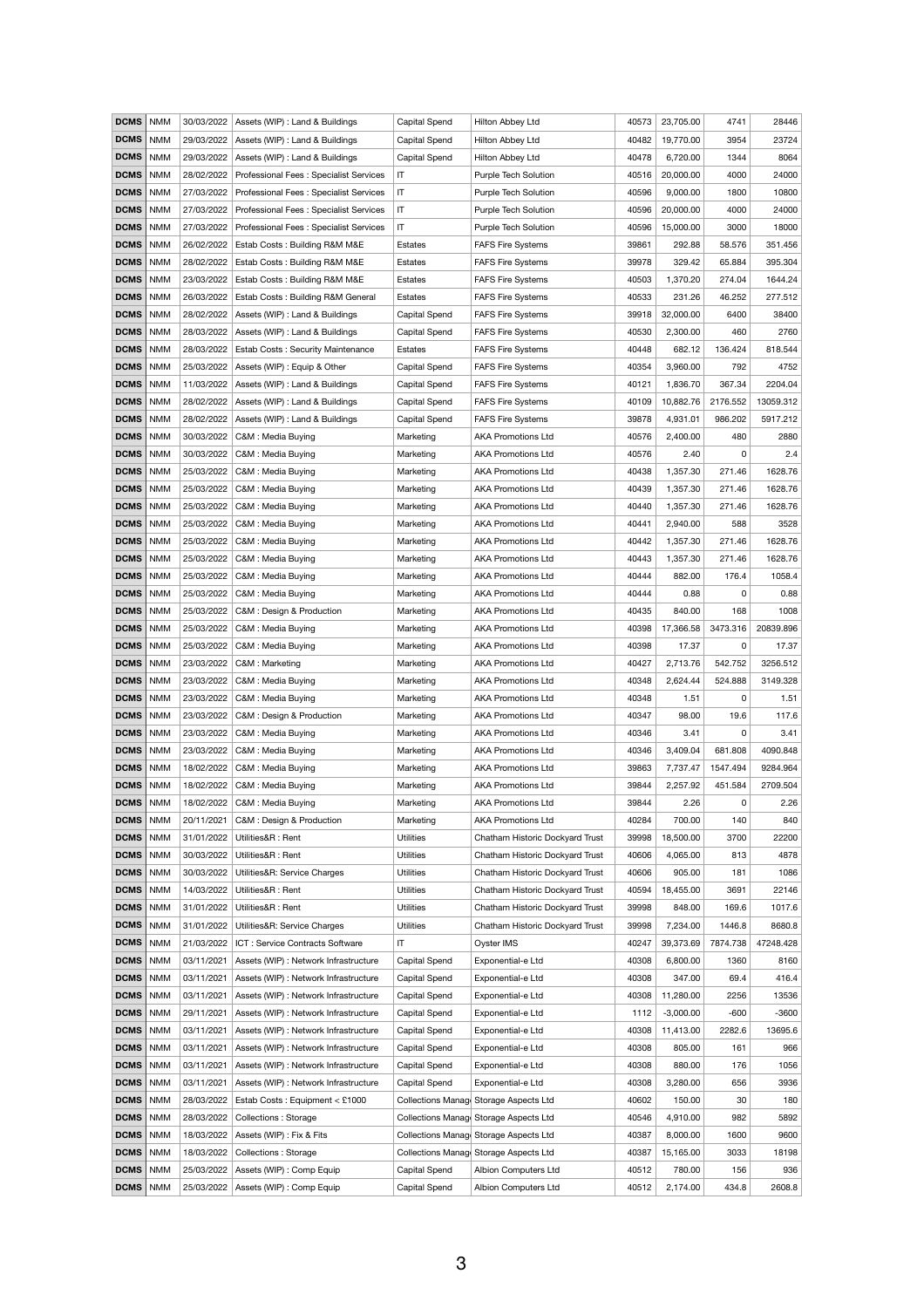| <b>DCMS</b> | <b>NMM</b> | 30/03/2022 | Assets (WIP) : Land & Buildings          | <b>Capital Spend</b>   | Hilton Abbey Ltd                       | 40573 | 23,705.00   | 4741     | 28446     |
|-------------|------------|------------|------------------------------------------|------------------------|----------------------------------------|-------|-------------|----------|-----------|
| <b>DCMS</b> | <b>NMM</b> | 29/03/2022 | Assets (WIP) : Land & Buildings          | <b>Capital Spend</b>   | Hilton Abbey Ltd                       | 40482 | 19,770.00   | 3954     | 23724     |
| <b>DCMS</b> | <b>NMM</b> | 29/03/2022 | Assets (WIP) : Land & Buildings          | <b>Capital Spend</b>   | Hilton Abbey Ltd                       | 40478 | 6,720.00    | 1344     | 8064      |
| <b>DCMS</b> | <b>NMM</b> | 28/02/2022 | Professional Fees: Specialist Services   | $\mathsf{I}\mathsf{T}$ | Purple Tech Solution                   | 40516 | 20,000.00   | 4000     | 24000     |
| <b>DCMS</b> | <b>NMM</b> | 27/03/2022 | Professional Fees: Specialist Services   | $\mathsf{I}\mathsf{T}$ | Purple Tech Solution                   | 40596 | 9,000.00    | 1800     | 10800     |
| <b>DCMS</b> | <b>NMM</b> | 27/03/2022 | Professional Fees: Specialist Services   | $\mathsf{I}\mathsf{T}$ | Purple Tech Solution                   | 40596 | 20,000.00   | 4000     | 24000     |
| <b>DCMS</b> | <b>NMM</b> | 27/03/2022 | Professional Fees: Specialist Services   | IT                     | <b>Purple Tech Solution</b>            | 40596 | 15,000.00   | 3000     | 18000     |
| <b>DCMS</b> | <b>NMM</b> | 26/02/2022 | Estab Costs: Building R&M M&E            | Estates                | <b>FAFS Fire Systems</b>               | 39861 | 292.88      | 58.576   | 351.456   |
| <b>DCMS</b> | <b>NMM</b> | 28/02/2022 | Estab Costs: Building R&M M&E            | Estates                | <b>FAFS Fire Systems</b>               | 39978 | 329.42      | 65.884   | 395.304   |
| <b>DCMS</b> | <b>NMM</b> | 23/03/2022 | Estab Costs: Building R&M M&E            | Estates                | <b>FAFS Fire Systems</b>               | 40503 | 1,370.20    | 274.04   | 1644.24   |
| <b>DCMS</b> | <b>NMM</b> | 26/03/2022 | Estab Costs: Building R&M General        | Estates                | <b>FAFS Fire Systems</b>               | 40533 | 231.26      | 46.252   | 277.512   |
| <b>DCMS</b> | <b>NMM</b> | 28/02/2022 | Assets (WIP) : Land & Buildings          | Capital Spend          | <b>FAFS Fire Systems</b>               | 39918 | 32,000.00   | 6400     | 38400     |
| <b>DCMS</b> | <b>NMM</b> | 28/03/2022 | Assets (WIP) : Land & Buildings          | Capital Spend          | <b>FAFS Fire Systems</b>               | 40530 | 2,300.00    | 460      | 2760      |
| <b>DCMS</b> | <b>NMM</b> | 28/03/2022 | <b>Estab Costs: Security Maintenance</b> | <b>Estates</b>         | <b>FAFS Fire Systems</b>               | 40448 | 682.12      | 136.424  | 818.544   |
| <b>DCMS</b> | <b>NMM</b> | 25/03/2022 | Assets (WIP) : Equip & Other             | Capital Spend          | <b>FAFS Fire Systems</b>               | 40354 | 3,960.00    | 792      | 4752      |
| <b>DCMS</b> | <b>NMM</b> | 11/03/2022 | Assets (WIP) : Land & Buildings          | Capital Spend          | <b>FAFS Fire Systems</b>               | 40121 | 1,836.70    | 367.34   | 2204.04   |
| <b>DCMS</b> | <b>NMM</b> | 28/02/2022 | Assets (WIP) : Land & Buildings          | Capital Spend          | <b>FAFS Fire Systems</b>               | 40109 | 10,882.76   | 2176.552 | 13059.312 |
| <b>DCMS</b> | <b>NMM</b> | 28/02/2022 | Assets (WIP) : Land & Buildings          | Capital Spend          | <b>FAFS Fire Systems</b>               | 39878 | 4,931.01    | 986.202  | 5917.212  |
| <b>DCMS</b> | <b>NMM</b> | 30/03/2022 | C&M : Media Buying                       | Marketing              | <b>AKA Promotions Ltd</b>              | 40576 | 2,400.00    | 480      | 2880      |
| <b>DCMS</b> | <b>NMM</b> | 30/03/2022 | C&M: Media Buying                        | Marketing              | <b>AKA Promotions Ltd</b>              | 40576 | 2.40        | 0        | 2.4       |
| <b>DCMS</b> | <b>NMM</b> | 25/03/2022 | C&M : Media Buying                       | Marketing              | <b>AKA Promotions Ltd</b>              | 40438 | 1,357.30    | 271.46   | 1628.76   |
| <b>DCMS</b> | <b>NMM</b> | 25/03/2022 | C&M : Media Buying                       | Marketing              | <b>AKA Promotions Ltd</b>              | 40439 | 1,357.30    | 271.46   | 1628.76   |
| <b>DCMS</b> | <b>NMM</b> | 25/03/2022 | C&M : Media Buying                       | Marketing              | <b>AKA Promotions Ltd</b>              | 40440 | 1,357.30    | 271.46   | 1628.76   |
| <b>DCMS</b> | <b>NMM</b> | 25/03/2022 | C&M: Media Buying                        | Marketing              | <b>AKA Promotions Ltd</b>              | 40441 | 2,940.00    | 588      | 3528      |
| <b>DCMS</b> | <b>NMM</b> | 25/03/2022 | C&M: Media Buying                        | Marketing              | <b>AKA Promotions Ltd</b>              | 40442 | 1,357.30    | 271.46   | 1628.76   |
| <b>DCMS</b> | <b>NMM</b> | 25/03/2022 | C&M: Media Buying                        | Marketing              | <b>AKA Promotions Ltd</b>              | 40443 | 1,357.30    | 271.46   | 1628.76   |
| <b>DCMS</b> | <b>NMM</b> | 25/03/2022 | C&M: Media Buying                        | Marketing              | <b>AKA Promotions Ltd</b>              | 40444 | 882.00      | 176.4    | 1058.4    |
| <b>DCMS</b> | <b>NMM</b> | 25/03/2022 | C&M: Media Buying                        | Marketing              | <b>AKA Promotions Ltd</b>              | 40444 | 0.88        | $\Omega$ | 0.88      |
| <b>DCMS</b> | <b>NMM</b> | 25/03/2022 | C&M : Design & Production                | Marketing              | <b>AKA Promotions Ltd</b>              | 40435 | 840.00      | 168      | 1008      |
| <b>DCMS</b> | <b>NMM</b> | 25/03/2022 | C&M: Media Buying                        | Marketing              | <b>AKA Promotions Ltd</b>              | 40398 | 17,366.58   | 3473.316 | 20839.896 |
| <b>DCMS</b> | <b>NMM</b> | 25/03/2022 | C&M: Media Buying                        | Marketing              | <b>AKA Promotions Ltd</b>              | 40398 | 17.37       | 0        | 17.37     |
| <b>DCMS</b> | <b>NMM</b> | 23/03/2022 | C&M: Marketing                           | Marketing              | <b>AKA Promotions Ltd</b>              | 40427 | 2,713.76    | 542.752  | 3256.512  |
| <b>DCMS</b> | <b>NMM</b> | 23/03/2022 | C&M: Media Buying                        | Marketing              | <b>AKA Promotions Ltd</b>              | 40348 | 2,624.44    | 524.888  | 3149.328  |
| <b>DCMS</b> | <b>NMM</b> | 23/03/2022 | C&M: Media Buying                        | Marketing              | <b>AKA Promotions Ltd</b>              | 40348 | 1.51        | $\Omega$ | 1.51      |
| <b>DCMS</b> | <b>NMM</b> | 23/03/2022 | C&M : Design & Production                | Marketing              | <b>AKA Promotions Ltd</b>              | 40347 | 98.00       | 19.6     | 117.6     |
| <b>DCMS</b> | <b>NMM</b> | 23/03/2022 | C&M: Media Buying                        | Marketing              | <b>AKA Promotions Ltd</b>              | 40346 | 3.41        | 0        | 3.41      |
| <b>DCMS</b> | <b>NMM</b> | 23/03/2022 | C&M : Media Buying                       | Marketing              | <b>AKA Promotions Ltd</b>              | 40346 | 3,409.04    | 681.808  | 4090.848  |
| <b>DCMS</b> | <b>NMM</b> | 18/02/2022 | C&M : Media Buying                       | Marketing              | <b>AKA Promotions Ltd</b>              | 39863 | 7,737.47    | 1547.494 | 9284.964  |
| <b>DCMS</b> | <b>NMM</b> | 18/02/2022 | C&M: Media Buying                        | Marketing              | <b>AKA Promotions Ltd</b>              | 39844 | 2,257.92    | 451.584  | 2709.504  |
| <b>DCMS</b> | <b>NMM</b> | 18/02/2022 | C&M : Media Buying                       | Marketing              | <b>AKA Promotions Ltd</b>              | 39844 | 2.26        | 0        | 2.26      |
| <b>DCMS</b> | <b>NMM</b> | 20/11/2021 | C&M : Design & Production                | Marketing              | <b>AKA Promotions Ltd</b>              | 40284 | 700.00      | 140      | 840       |
| <b>DCMS</b> | <b>NMM</b> | 31/01/2022 | Utilities&R: Rent                        | <b>Utilities</b>       | Chatham Historic Dockyard Trust        | 39998 | 18,500.00   | 3700     | 22200     |
| <b>DCMS</b> | <b>NMM</b> | 30/03/2022 | Utilities&R: Rent                        | <b>Utilities</b>       | Chatham Historic Dockyard Trust        | 40606 | 4,065.00    | 813      | 4878      |
| <b>DCMS</b> | <b>NMM</b> | 30/03/2022 | Utilities&R: Service Charges             | <b>Utilities</b>       | Chatham Historic Dockyard Trust        | 40606 | 905.00      | 181      | 1086      |
| <b>DCMS</b> | <b>NMM</b> |            | 14/03/2022   Utilities&R : Rent          | <b>Utilities</b>       | Chatham Historic Dockyard Trust        | 40594 | 18,455.00   | 3691     | 22146     |
| <b>DCMS</b> | <b>NMM</b> | 31/01/2022 | Utilities&R: Rent                        | <b>Utilities</b>       | Chatham Historic Dockyard Trust        | 39998 | 848.00      | 169.6    | 1017.6    |
| <b>DCMS</b> | <b>NMM</b> | 31/01/2022 | Utilities&R: Service Charges             | <b>Utilities</b>       | Chatham Historic Dockyard Trust        | 39998 | 7,234.00    | 1446.8   | 8680.8    |
| <b>DCMS</b> | <b>NMM</b> | 21/03/2022 | ICT: Service Contracts Software          | IT                     | Oyster IMS                             | 40247 | 39,373.69   | 7874.738 | 47248.428 |
| <b>DCMS</b> | <b>NMM</b> | 03/11/2021 | Assets (WIP) : Network Infrastructure    | Capital Spend          | Exponential-e Ltd                      | 40308 | 6,800.00    | 1360     | 8160      |
| <b>DCMS</b> | <b>NMM</b> | 03/11/2021 | Assets (WIP) : Network Infrastructure    | <b>Capital Spend</b>   | Exponential-e Ltd                      | 40308 | 347.00      | 69.4     | 416.4     |
| <b>DCMS</b> | <b>NMM</b> | 03/11/2021 | Assets (WIP) : Network Infrastructure    | Capital Spend          | Exponential-e Ltd                      | 40308 | 11,280.00   | 2256     | 13536     |
| <b>DCMS</b> | <b>NMM</b> | 29/11/2021 | Assets (WIP) : Network Infrastructure    | Capital Spend          | Exponential-e Ltd                      | 1112  | $-3,000.00$ | $-600$   | $-3600$   |
| <b>DCMS</b> | <b>NMM</b> | 03/11/2021 | Assets (WIP) : Network Infrastructure    | Capital Spend          | Exponential-e Ltd                      | 40308 | 11,413.00   | 2282.6   | 13695.6   |
| <b>DCMS</b> | <b>NMM</b> | 03/11/2021 | Assets (WIP) : Network Infrastructure    | Capital Spend          | Exponential-e Ltd                      | 40308 | 805.00      | 161      | 966       |
| <b>DCMS</b> | <b>NMM</b> | 03/11/2021 | Assets (WIP) : Network Infrastructure    | Capital Spend          | Exponential-e Ltd                      | 40308 | 880.00      | 176      | 1056      |
| <b>DCMS</b> | <b>NMM</b> | 03/11/2021 | Assets (WIP) : Network Infrastructure    | Capital Spend          | Exponential-e Ltd                      | 40308 | 3,280.00    | 656      | 3936      |
| <b>DCMS</b> | <b>NMM</b> | 28/03/2022 | Estab Costs: Equipment < £1000           |                        | Collections Manage Storage Aspects Ltd | 40602 | 150.00      | 30       | 180       |
| <b>DCMS</b> | <b>NMM</b> | 28/03/2022 | <b>Collections: Storage</b>              |                        | Collections Manage Storage Aspects Ltd | 40546 | 4,910.00    | 982      | 5892      |
| <b>DCMS</b> | <b>NMM</b> | 18/03/2022 | Assets (WIP) : Fix & Fits                |                        | Collections Manage Storage Aspects Ltd | 40387 | 8,000.00    | 1600     | 9600      |
| <b>DCMS</b> | <b>NMM</b> | 18/03/2022 | <b>Collections: Storage</b>              |                        | Collections Manage Storage Aspects Ltd | 40387 | 15,165.00   | 3033     | 18198     |
| <b>DCMS</b> | <b>NMM</b> | 25/03/2022 | Assets (WIP) : Comp Equip                | <b>Capital Spend</b>   | Albion Computers Ltd                   | 40512 | 780.00      | 156      | 936       |
| <b>DCMS</b> | <b>NMM</b> | 25/03/2022 | Assets (WIP) : Comp Equip                | Capital Spend          | Albion Computers Ltd                   | 40512 | 2,174.00    | 434.8    | 2608.8    |